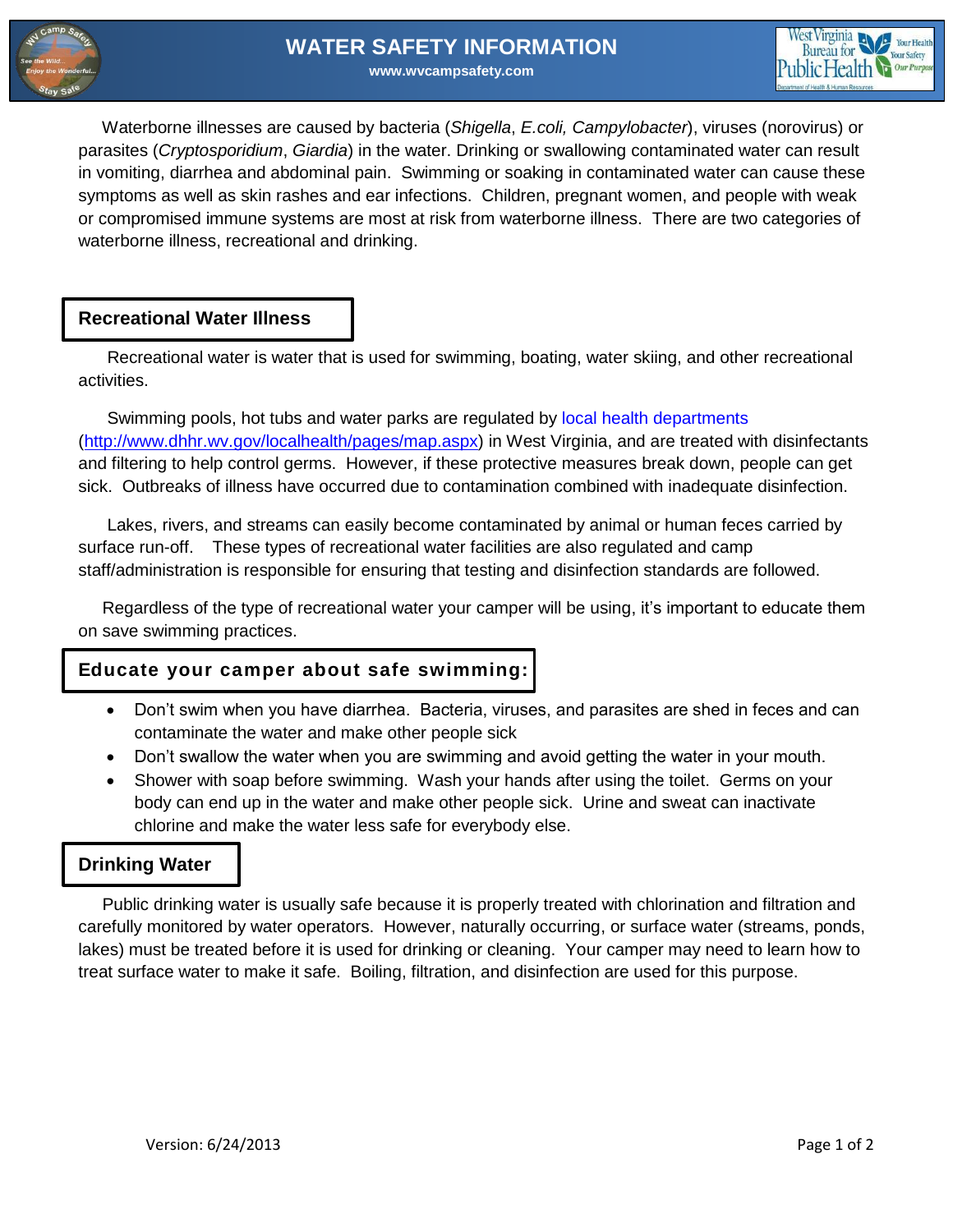



 Waterborne illnesses are caused by bacteria (*Shigella*, *E.coli, Campylobacter*), viruses (norovirus) or parasites (*Cryptosporidium*, *Giardia*) in the water. Drinking or swallowing contaminated water can result in vomiting, diarrhea and abdominal pain. Swimming or soaking in contaminated water can cause these symptoms as well as skin rashes and ear infections. Children, pregnant women, and people with weak or compromised immune systems are most at risk from waterborne illness. There are two categories of waterborne illness, recreational and drinking.

### **Recreational Water Illness**

 Recreational water is water that is used for swimming, boating, water skiing, and other recreational activities.

 Swimming pools, hot tubs and water parks are regulated by [local health departments](http://www.dhhr.wv.gov/localhealth/pages/map.aspx) [\(http://www.dhhr.wv.gov/localhealth/pages/map.aspx\)](http://www.dhhr.wv.gov/localhealth/pages/map.aspx) in West Virginia, and are treated with disinfectants and filtering to help control germs. However, if these protective measures break down, people can get sick. Outbreaks of illness have occurred due to contamination combined with inadequate disinfection.

 Lakes, rivers, and streams can easily become contaminated by animal or human feces carried by surface run-off. These types of recreational water facilities are also regulated and camp staff/administration is responsible for ensuring that testing and disinfection standards are followed.

 Regardless of the type of recreational water your camper will be using, it's important to educate them on save swimming practices.

## **Educate your camper about safe swimming:**

- Don't swim when you have diarrhea. Bacteria, viruses, and parasites are shed in feces and can contaminate the water and make other people sick
- Don't swallow the water when you are swimming and avoid getting the water in your mouth.
- Shower with soap before swimming. Wash your hands after using the toilet. Germs on your body can end up in the water and make other people sick. Urine and sweat can inactivate chlorine and make the water less safe for everybody else.

## **Drinking Water**

 Public drinking water is usually safe because it is properly treated with chlorination and filtration and carefully monitored by water operators. However, naturally occurring, or surface water (streams, ponds, lakes) must be treated before it is used for drinking or cleaning. Your camper may need to learn how to treat surface water to make it safe. Boiling, filtration, and disinfection are used for this purpose.